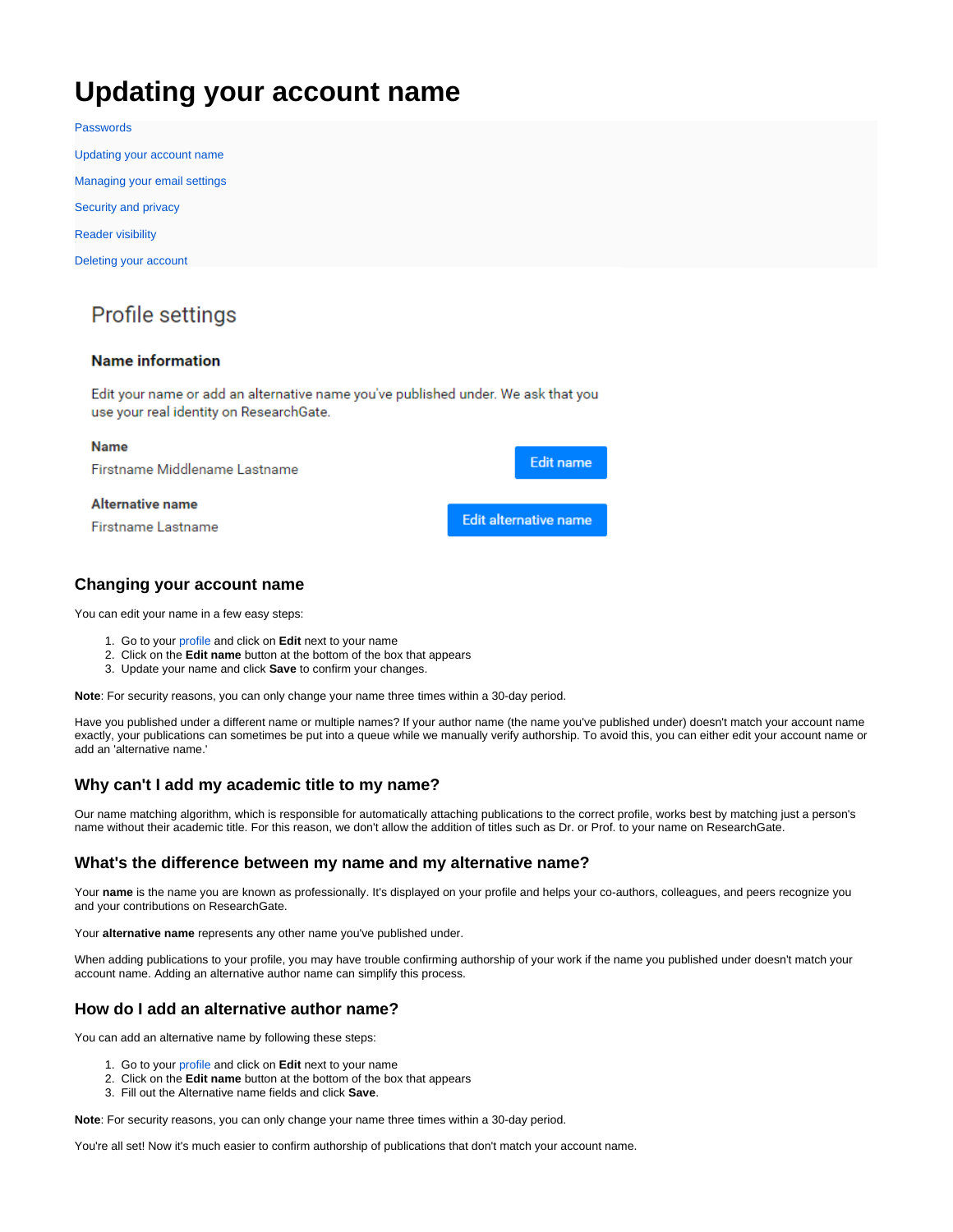# <span id="page-0-0"></span>**Updating your account name**

[Passwords](https://explore.researchgate.net/display/support/Passwords) [Updating your account name](#page-0-0) [Managing your email settings](https://explore.researchgate.net/display/support/Managing+your+email+settings) [Security and privacy](https://explore.researchgate.net/display/support/Security+and+privacy) [Reader visibility](https://explore.researchgate.net/display/support/Reader+visibility) [Deleting your account](https://explore.researchgate.net/display/support/Deleting+your+account)

## Profile settings

#### **Name information**

Edit your name or add an alternative name you've published under. We ask that you use your real identity on ResearchGate.

| <b>Name</b><br>Firstname Middlename Lastname | Edit name             |
|----------------------------------------------|-----------------------|
| Alternative name<br>Firstname Lastname       | Edit alternative name |

#### **Changing your account name**

You can edit your name in a few easy steps:

- 1. Go to your [profile](https://www.researchgate.net/go.Profile.html) and click on **Edit** next to your name
- 2. Click on the **Edit name** button at the bottom of the box that appears
- 3. Update your name and click **Save** to confirm your changes.

**Note**: For security reasons, you can only change your name three times within a 30-day period.

Have you published under a different name or multiple names? If your author name (the name you've published under) doesn't match your account name exactly, your publications can sometimes be put into a queue while we manually verify authorship. To avoid this, you can either edit your account name or add an 'alternative name.'

#### **Why can't I add my academic title to my name?**

Our name matching algorithm, which is responsible for automatically attaching publications to the correct profile, works best by matching just a person's name without their academic title. For this reason, we don't allow the addition of titles such as Dr. or Prof. to your name on ResearchGate.

#### **What's the difference between my name and my alternative name?**

Your name is the name you are known as professionally. It's displayed on your profile and helps your co-authors, colleagues, and peers recognize you and your contributions on ResearchGate.

Your **alternative name** represents any other name you've published under.

When adding publications to your profile, you may have trouble confirming authorship of your work if the name you published under doesn't match your account name. Adding an alternative author name can simplify this process.

#### **How do I add an alternative author name?**

You can add an alternative name by following these steps:

- 1. Go to your [profile](https://www.researchgate.net/go.Profile.html) and click on **Edit** next to your name
- 2. Click on the **Edit name** button at the bottom of the box that appears
- 3. Fill out the Alternative name fields and click **Save**.

**Note**: For security reasons, you can only change your name three times within a 30-day period.

You're all set! Now it's much easier to confirm authorship of publications that don't match your account name.